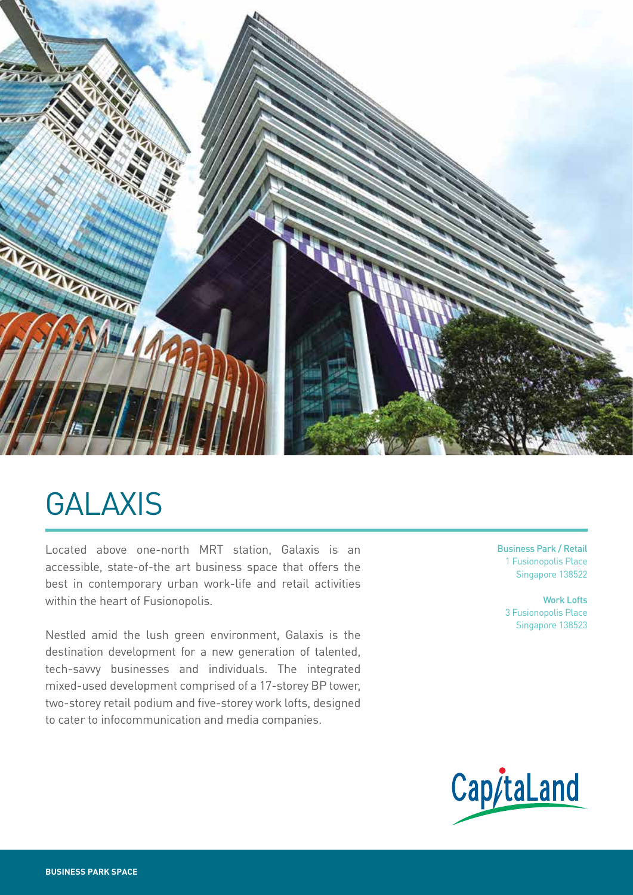

# GALAXIS

Located above one-north MRT station, Galaxis is an accessible, state-of-the art business space that offers the best in contemporary urban work-life and retail activities within the heart of Fusionopolis.

Nestled amid the lush green environment, Galaxis is the destination development for a new generation of talented, tech-savvy businesses and individuals. The integrated mixed-used development comprised of a 17-storey BP tower, two-storey retail podium and five-storey work lofts, designed to cater to infocommunication and media companies.

Business Park / Retail 1 Fusionopolis Place Singapore 138522

Work Lofts 3 Fusionopolis Place Singapore 138523